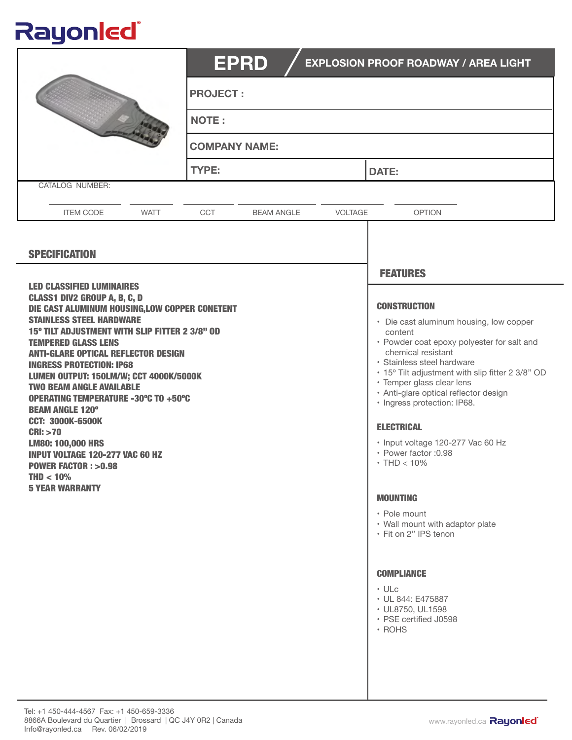## Rayonled®

|                                                                                                                                                                                                                                                                                                                                                                                                                                                                                                                                                                                                                                                                             | <b>EPRD</b><br><b>EXPLOSION PROOF ROADWAY / AREA LIGHT</b> |                |                                                                                                                                                                                                                                                                                                                                                                                                                                                                                                                                                                                                                                                               |  |  |
|-----------------------------------------------------------------------------------------------------------------------------------------------------------------------------------------------------------------------------------------------------------------------------------------------------------------------------------------------------------------------------------------------------------------------------------------------------------------------------------------------------------------------------------------------------------------------------------------------------------------------------------------------------------------------------|------------------------------------------------------------|----------------|---------------------------------------------------------------------------------------------------------------------------------------------------------------------------------------------------------------------------------------------------------------------------------------------------------------------------------------------------------------------------------------------------------------------------------------------------------------------------------------------------------------------------------------------------------------------------------------------------------------------------------------------------------------|--|--|
|                                                                                                                                                                                                                                                                                                                                                                                                                                                                                                                                                                                                                                                                             | <b>PROJECT:</b>                                            |                |                                                                                                                                                                                                                                                                                                                                                                                                                                                                                                                                                                                                                                                               |  |  |
|                                                                                                                                                                                                                                                                                                                                                                                                                                                                                                                                                                                                                                                                             | <b>NOTE:</b>                                               |                |                                                                                                                                                                                                                                                                                                                                                                                                                                                                                                                                                                                                                                                               |  |  |
|                                                                                                                                                                                                                                                                                                                                                                                                                                                                                                                                                                                                                                                                             | <b>COMPANY NAME:</b>                                       |                |                                                                                                                                                                                                                                                                                                                                                                                                                                                                                                                                                                                                                                                               |  |  |
|                                                                                                                                                                                                                                                                                                                                                                                                                                                                                                                                                                                                                                                                             | <b>TYPE:</b>                                               |                | <b>DATE:</b>                                                                                                                                                                                                                                                                                                                                                                                                                                                                                                                                                                                                                                                  |  |  |
| CATALOG NUMBER:                                                                                                                                                                                                                                                                                                                                                                                                                                                                                                                                                                                                                                                             |                                                            |                |                                                                                                                                                                                                                                                                                                                                                                                                                                                                                                                                                                                                                                                               |  |  |
| <b>ITEM CODE</b><br><b>WATT</b>                                                                                                                                                                                                                                                                                                                                                                                                                                                                                                                                                                                                                                             | CCT<br><b>BEAM ANGLE</b>                                   | <b>VOLTAGE</b> | <b>OPTION</b>                                                                                                                                                                                                                                                                                                                                                                                                                                                                                                                                                                                                                                                 |  |  |
| <b>SPECIFICATION</b>                                                                                                                                                                                                                                                                                                                                                                                                                                                                                                                                                                                                                                                        |                                                            |                | <b>FEATURES</b>                                                                                                                                                                                                                                                                                                                                                                                                                                                                                                                                                                                                                                               |  |  |
| <b>LED CLASSIFIED LUMINAIRES</b><br><b>CLASS1 DIV2 GROUP A, B, C, D</b><br>DIE CAST ALUMINUM HOUSING, LOW COPPER CONETENT<br><b>STAINLESS STEEL HARDWARE</b><br>15° TILT ADJUSTMENT WITH SLIP FITTER 2 3/8" OD<br><b>TEMPERED GLASS LENS</b><br><b>ANTI-GLARE OPTICAL REFLECTOR DESIGN</b><br><b>INGRESS PROTECTION: IP68</b><br>LUMEN OUTPUT: 150LM/W; CCT 4000K/5000K<br><b>TWO BEAM ANGLE AVAILABLE</b><br><b>OPERATING TEMPERATURE -30°C TO +50°C</b><br><b>BEAM ANGLE 120°</b><br><b>CCT: 3000K-6500K</b><br>CRI: >70<br><b>LM80: 100,000 HRS</b><br><b>INPUT VOLTAGE 120-277 VAC 60 HZ</b><br><b>POWER FACTOR: &gt;0.98</b><br>$THD < 10\%$<br><b>5 YEAR WARRANTY</b> |                                                            |                | <b>CONSTRUCTION</b><br>• Die cast aluminum housing, low copper<br>content<br>• Powder coat epoxy polyester for salt and<br>chemical resistant<br>· Stainless steel hardware<br>• 15° Tilt adjustment with slip fitter 2 3/8" OD<br>• Temper glass clear lens<br>· Anti-glare optical reflector design<br>· Ingress protection: IP68.<br><b>ELECTRICAL</b><br>· Input voltage 120-277 Vac 60 Hz<br>· Power factor : 0.98<br>$\cdot$ THD $<$ 10%<br><b>MOUNTING</b><br>• Pole mount<br>• Wall mount with adaptor plate<br>• Fit on 2" IPS tenon<br><b>COMPLIANCE</b><br>$\cdot$ ULc<br>• UL 844: E475887<br>· UL8750, UL1598<br>• PSE certified J0598<br>· ROHS |  |  |

ı